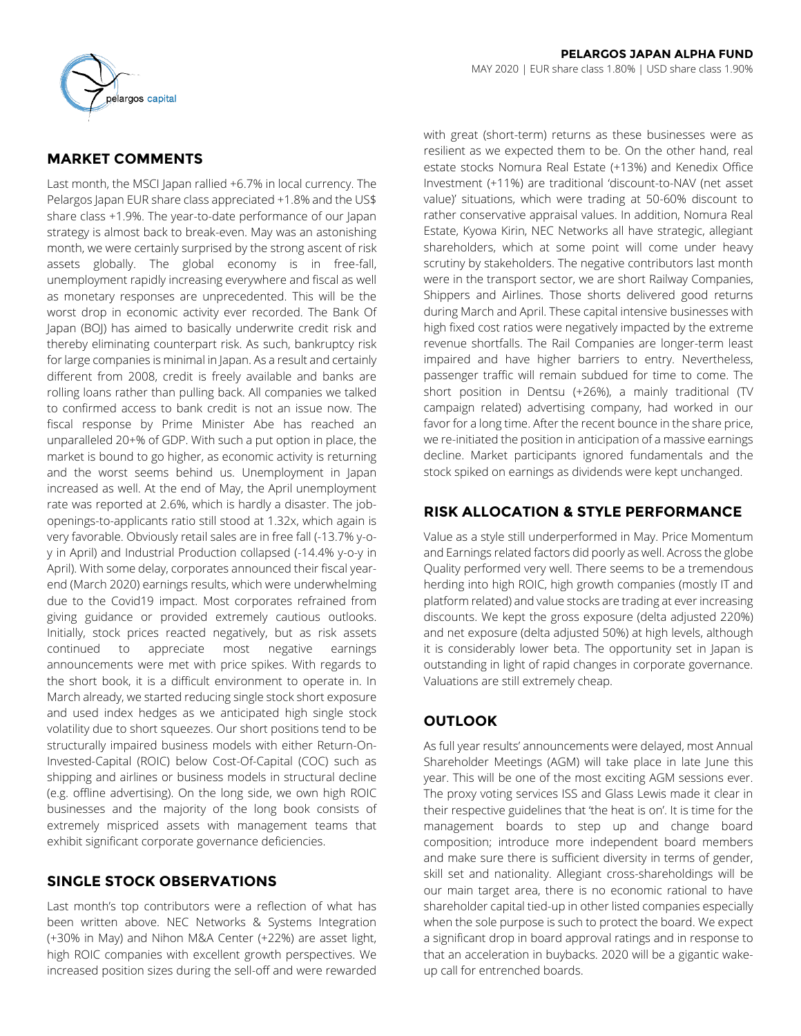

# **MARKET COMMENTS**

Last month, the MSCI Japan rallied +6.7% in local currency. The Pelargos Japan EUR share class appreciated +1.8% and the US\$ share class +1.9%. The year-to-date performance of our Japan strategy is almost back to break-even. May was an astonishing month, we were certainly surprised by the strong ascent of risk assets globally. The global economy is in free-fall, unemployment rapidly increasing everywhere and fiscal as well as monetary responses are unprecedented. This will be the worst drop in economic activity ever recorded. The Bank Of Japan (BOJ) has aimed to basically underwrite credit risk and thereby eliminating counterpart risk. As such, bankruptcy risk for large companies is minimal in Japan. As a result and certainly different from 2008, credit is freely available and banks are rolling loans rather than pulling back. All companies we talked to confirmed access to bank credit is not an issue now. The fiscal response by Prime Minister Abe has reached an unparalleled 20+% of GDP. With such a put option in place, the market is bound to go higher, as economic activity is returning and the worst seems behind us. Unemployment in Japan increased as well. At the end of May, the April unemployment rate was reported at 2.6%, which is hardly a disaster. The jobopenings-to-applicants ratio still stood at 1.32x, which again is very favorable. Obviously retail sales are in free fall (-13.7% y-oy in April) and Industrial Production collapsed (-14.4% y-o-y in April). With some delay, corporates announced their fiscal yearend (March 2020) earnings results, which were underwhelming due to the Covid19 impact. Most corporates refrained from giving guidance or provided extremely cautious outlooks. Initially, stock prices reacted negatively, but as risk assets continued to appreciate most negative earnings announcements were met with price spikes. With regards to the short book, it is a difficult environment to operate in. In March already, we started reducing single stock short exposure and used index hedges as we anticipated high single stock volatility due to short squeezes. Our short positions tend to be structurally impaired business models with either Return-On-Invested-Capital (ROIC) below Cost-Of-Capital (COC) such as shipping and airlines or business models in structural decline (e.g. offline advertising). On the long side, we own high ROIC businesses and the majority of the long book consists of extremely mispriced assets with management teams that exhibit significant corporate governance deficiencies.

## **SINGLE STOCK OBSERVATIONS**

Last month's top contributors were a reflection of what has been written above. NEC Networks & Systems Integration (+30% in May) and Nihon M&A Center (+22%) are asset light, high ROIC companies with excellent growth perspectives. We increased position sizes during the sell-off and were rewarded with great (short-term) returns as these businesses were as resilient as we expected them to be. On the other hand, real estate stocks Nomura Real Estate (+13%) and Kenedix Office Investment (+11%) are traditional 'discount-to-NAV (net asset value)' situations, which were trading at 50-60% discount to rather conservative appraisal values. In addition, Nomura Real Estate, Kyowa Kirin, NEC Networks all have strategic, allegiant shareholders, which at some point will come under heavy scrutiny by stakeholders. The negative contributors last month were in the transport sector, we are short Railway Companies, Shippers and Airlines. Those shorts delivered good returns during March and April. These capital intensive businesses with high fixed cost ratios were negatively impacted by the extreme revenue shortfalls. The Rail Companies are longer-term least impaired and have higher barriers to entry. Nevertheless, passenger traffic will remain subdued for time to come. The short position in Dentsu (+26%), a mainly traditional (TV campaign related) advertising company, had worked in our favor for a long time. After the recent bounce in the share price, we re-initiated the position in anticipation of a massive earnings decline. Market participants ignored fundamentals and the stock spiked on earnings as dividends were kept unchanged.

# **RISK ALLOCATION & STYLE PERFORMANCE**

Value as a style still underperformed in May. Price Momentum and Earnings related factors did poorly as well. Across the globe Quality performed very well. There seems to be a tremendous herding into high ROIC, high growth companies (mostly IT and platform related) and value stocks are trading at ever increasing discounts. We kept the gross exposure (delta adjusted 220%) and net exposure (delta adjusted 50%) at high levels, although it is considerably lower beta. The opportunity set in Japan is outstanding in light of rapid changes in corporate governance. Valuations are still extremely cheap.

# **OUTLOOK**

As full year results' announcements were delayed, most Annual Shareholder Meetings (AGM) will take place in late June this year. This will be one of the most exciting AGM sessions ever. The proxy voting services ISS and Glass Lewis made it clear in their respective guidelines that 'the heat is on'. It is time for the management boards to step up and change board composition; introduce more independent board members and make sure there is sufficient diversity in terms of gender, skill set and nationality. Allegiant cross-shareholdings will be our main target area, there is no economic rational to have shareholder capital tied-up in other listed companies especially when the sole purpose is such to protect the board. We expect a significant drop in board approval ratings and in response to that an acceleration in buybacks. 2020 will be a gigantic wakeup call for entrenched boards.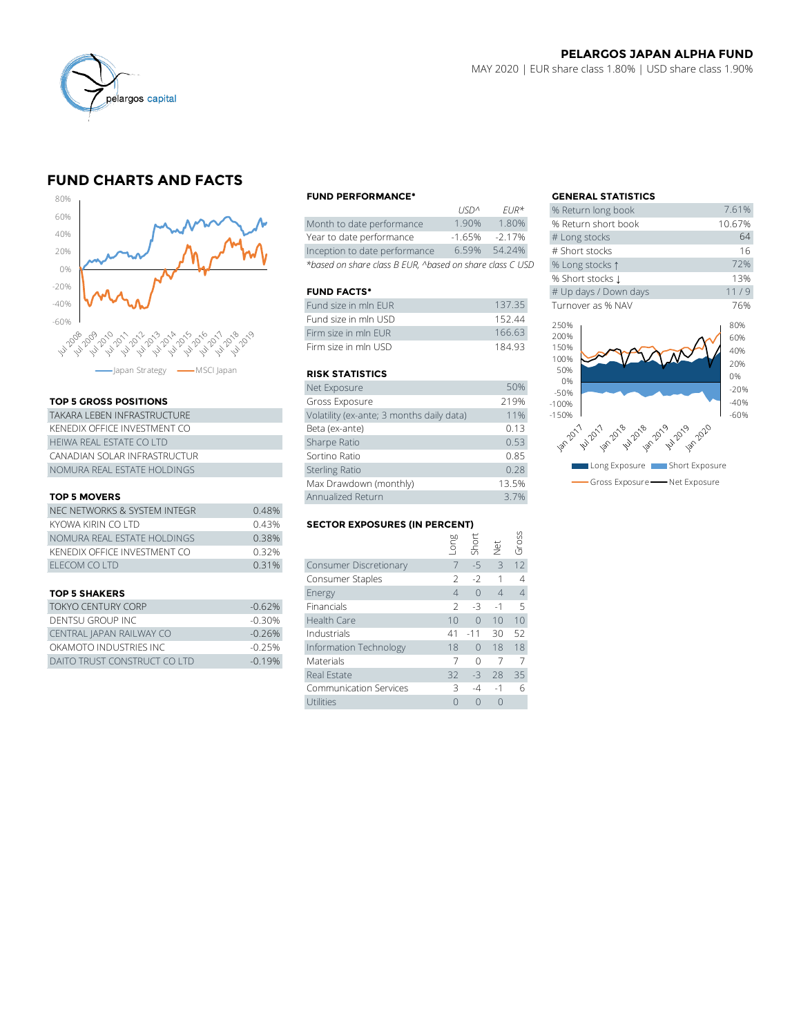

# **FUND CHARTS AND FACTS**



### **TOP 5 GROSS POSITIONS**

| TAKARA I FBFN INFRASTRUCTURF | Volatility (ex-ante; 3 months daily data) |
|------------------------------|-------------------------------------------|
| KENEDIX OFFICE INVESTMENT CO | Beta (ex-ante)                            |
| HEIWA REAL ESTATE CO LTD     | Sharpe Ratio                              |
| CANADIAN SOLAR INFRASTRUCTUR | Sortino Ratio                             |
| NOMURA REAL ESTATE HOLDINGS  | <b>Sterling Ratio</b>                     |

#### **TOP 5 MOVERS**

|                              | Max Drawdown (monthly)               |                        |      |               | 13.5%                |          |  |
|------------------------------|--------------------------------------|------------------------|------|---------------|----------------------|----------|--|
| <b>TOP 5 MOVERS</b>          |                                      | Annualized Return      |      |               |                      | 3.7%     |  |
| NEC NETWORKS & SYSTEM INTEGR | 0.48%                                |                        |      |               |                      |          |  |
| KYOWA KIRIN CO LTD           | <b>SECTOR EXPOSURES (IN PERCENT)</b> |                        |      |               |                      |          |  |
| NOMURA REAL ESTATE HOLDINGS  | 0.38%                                |                        | guo. | Shor          |                      | Gross    |  |
| KENEDIX OFFICE INVESTMENT CO | 0.32%                                |                        |      |               | $\frac{1}{\sqrt{2}}$ |          |  |
| ELECOM CO LTD                | 0.31%                                | Consumer Discretionary |      | $-5$          |                      | 12       |  |
|                              |                                      | Consumer Staples       |      | $\rightarrow$ |                      | $\Delta$ |  |
|                              |                                      |                        |      |               |                      |          |  |

#### **TOP 5 SHAKERS**

| <b>TOKYO CENTURY CORP</b>    | $-0.62\%$ | Financials             |          | $2 - 3 - 1 = 5$ |               |  |
|------------------------------|-----------|------------------------|----------|-----------------|---------------|--|
| DENTSU GROUP INC             | $-0.30\%$ | Health Care            | $10^{-}$ |                 | $0 \t10 \t10$ |  |
| CENTRAL JAPAN RAILWAY CO     | $-0.26%$  | Industrials            |          | 41 -11 30 52    |               |  |
| OKAMOTO INDUSTRIES INC       | $-0.25%$  | Information Technology | 18       | 0 18 18         |               |  |
| DAITO TRUST CONSTRUCT CO LTD | $-0.19%$  | <b>Materials</b>       |          |                 |               |  |

#### **FUND PERFORMANCE\* GENERAL STATISTICS**

|                                                          | 11511 <sup>n</sup> | $FIR^{\prime\prime}$ | % Return long dook  |
|----------------------------------------------------------|--------------------|----------------------|---------------------|
| Month to date performance                                | 1.90%              | 1.80%                | % Return short book |
| Year to date performance                                 | $-1.65%$           | $-2.17%$             | # Long stocks       |
| Inception to date performance                            | 6.59%              | 54.24%               | # Short stocks      |
| *based on share class B EUR, ^based on share class C USD | % Long stocks 1    |                      |                     |

## **FUND FACTS\***

| Fund size in mln EUR | 13735  | Turnover as % NAV |
|----------------------|--------|-------------------|
| Fund size in mln USD | 152.44 | 250%              |
| Firm size in mln FUR | 166.63 | 200%              |
| Firm size in mln USD | 18493  | 150%              |

## **RISK STATISTICS**

| Net Exposure                              | 50%   |
|-------------------------------------------|-------|
| Gross Exposure                            | 219%  |
| Volatility (ex-ante; 3 months daily data) | 11%   |
| Beta (ex-ante)                            | 0.13  |
| Sharpe Ratio                              | 0.53  |
| Sortino Ratio                             | 0.85  |
| <b>Sterling Ratio</b>                     | 0.28  |
| Max Drawdown (monthly)                    | 13.5% |
| Annualized Return                         | 3.7%  |

#### **SECTOR EXPOSURES (IN PERCENT)**

| NOMURA REAL ESTATE HOLDINGS  | 0.38%    |                               | Long | Short     |                | Gross           |
|------------------------------|----------|-------------------------------|------|-----------|----------------|-----------------|
| KENEDIX OFFICE INVESTMENT CO | 0.32%    |                               |      |           | $\frac{1}{2}$  |                 |
| ELECOM CO LTD                | 0.31%    | Consumer Discretionary        |      | $-5$      | 3              | 12              |
|                              |          | Consumer Staples              |      | $-2$      |                | 4               |
| <b>TOP 5 SHAKERS</b>         |          | Energy                        | 4    | $\bigcap$ | $\overline{4}$ | $\overline{4}$  |
| TOKYO CENTURY CORP           | $-0.62%$ | Financials                    |      | $-3$      | $-1$           | 5               |
| DENTSU GROUP INC             | $-0.30%$ | Health Care                   | 10   | $\Omega$  | 10             | 10 <sup>°</sup> |
| CENTRAL JAPAN RAILWAY CO     | $-0.26%$ | Industrials                   | 41   | $-11$     | 30             | 52              |
| OKAMOTO INDUSTRIES INC       | $-0.25%$ | Information Technology        | 18   | $\bigcap$ | 18             | 18              |
| DAITO TRUST CONSTRUCT CO LTD | $-0.19%$ | <b>Materials</b>              |      | $\Omega$  |                | 7               |
|                              |          | Real Estate                   | 32   | $-3$      | 28             | 35              |
|                              |          | <b>Communication Services</b> | 3    | $-4$      | $-1$           | 6               |
|                              |          | Utilities                     |      | $\Omega$  | $\mathbf 0$    |                 |

|             |                      | <b>GENERAL STATISTICS</b>                |        |
|-------------|----------------------|------------------------------------------|--------|
| <b>USDA</b> | $F$ $IR*$            | % Return long book                       | 7.61%  |
| 1.90%       | 1.80%                | % Return short book                      | 10.67% |
| $-1.65%$    | $-2.17%$             | # Long stocks                            | 64     |
| 6.59%       | 54.24%               | # Short stocks                           | 16     |
|             | on share class C USD | % Long stocks 1                          | 72%    |
|             |                      | % Short stocks J                         | 13%    |
|             |                      | # Up days / Down days                    | 11/9   |
|             | 137.35               | Turnover as % NAV                        | 76%    |
|             | 152.44               | 250%                                     | 80%    |
|             | 166.63               | 200%                                     | 60%    |
|             | 184.93               | 150%                                     | 40%    |
|             |                      | 100%                                     | 20%    |
|             |                      | 50%                                      | 0%     |
|             | 50%                  | 0%<br>$-50%$                             | $-20%$ |
|             | 219%                 | $-100%$                                  | $-40%$ |
| ata)        | 11%                  | $-150%$                                  | $-60%$ |
|             | 0.13                 |                                          |        |
|             | 0.53                 | 18.70.1 20.1 20.8 42.20.9 20.9 20.9 20.0 |        |
|             | 0.85                 |                                          |        |
|             | 0.28                 | Long Exposure <b>The Short Exposure</b>  |        |
|             | 13.5%                | Gross Exposure - Net Exposure            |        |
|             |                      |                                          |        |